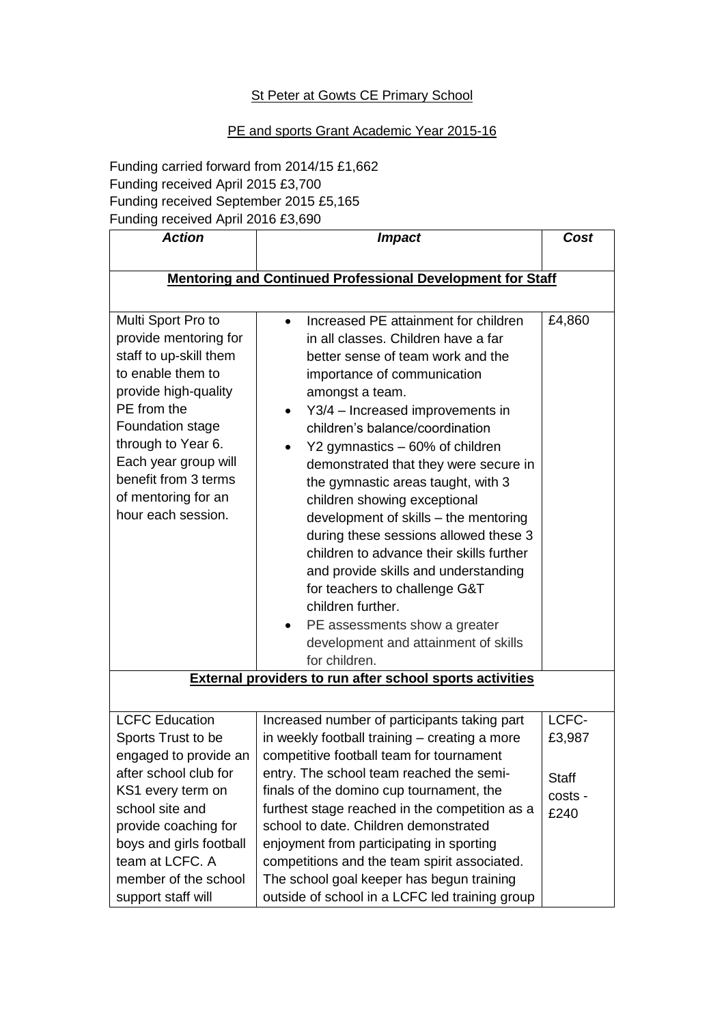## **St Peter at Gowts CE Primary School**

## PE and sports Grant Academic Year 2015-16

Funding carried forward from 2014/15 £1,662 Funding received April 2015 £3,700 Funding received September 2015 £5,165 Funding received April 2016 £3,690

| <b>Action</b>                                                                                                                                               | <b>Impact</b>                                                                                                                                                                                                                                                                                                                                                                                                                                                                                                | Cost                     |  |
|-------------------------------------------------------------------------------------------------------------------------------------------------------------|--------------------------------------------------------------------------------------------------------------------------------------------------------------------------------------------------------------------------------------------------------------------------------------------------------------------------------------------------------------------------------------------------------------------------------------------------------------------------------------------------------------|--------------------------|--|
|                                                                                                                                                             |                                                                                                                                                                                                                                                                                                                                                                                                                                                                                                              |                          |  |
| <b>Mentoring and Continued Professional Development for Staff</b>                                                                                           |                                                                                                                                                                                                                                                                                                                                                                                                                                                                                                              |                          |  |
| Multi Sport Pro to<br>provide mentoring for<br>staff to up-skill them<br>to enable them to<br>provide high-quality<br>PE from the                           | Increased PE attainment for children<br>$\bullet$<br>in all classes. Children have a far<br>better sense of team work and the<br>importance of communication<br>amongst a team.<br>Y3/4 - Increased improvements in                                                                                                                                                                                                                                                                                          | £4,860                   |  |
| Foundation stage<br>through to Year 6.<br>Each year group will<br>benefit from 3 terms<br>of mentoring for an<br>hour each session.                         | children's balance/coordination<br>Y2 gymnastics - 60% of children<br>demonstrated that they were secure in<br>the gymnastic areas taught, with 3<br>children showing exceptional<br>development of skills - the mentoring<br>during these sessions allowed these 3<br>children to advance their skills further<br>and provide skills and understanding<br>for teachers to challenge G&T<br>children further.<br>PE assessments show a greater<br>٠<br>development and attainment of skills<br>for children. |                          |  |
|                                                                                                                                                             | <b>External providers to run after school sports activities</b>                                                                                                                                                                                                                                                                                                                                                                                                                                              |                          |  |
|                                                                                                                                                             |                                                                                                                                                                                                                                                                                                                                                                                                                                                                                                              |                          |  |
| <b>LCFC Education</b><br>Sports Trust to be<br>engaged to provide an                                                                                        | Increased number of participants taking part<br>in weekly football training - creating a more<br>competitive football team for tournament                                                                                                                                                                                                                                                                                                                                                                    | LCFC-<br>£3,987          |  |
| after school club for<br>KS1 every term on<br>school site and<br>provide coaching for<br>boys and girls football<br>team at LCFC. A<br>member of the school | entry. The school team reached the semi-<br>finals of the domino cup tournament, the<br>furthest stage reached in the competition as a<br>school to date. Children demonstrated<br>enjoyment from participating in sporting<br>competitions and the team spirit associated.<br>The school goal keeper has begun training                                                                                                                                                                                     | Staff<br>costs -<br>£240 |  |
| support staff will                                                                                                                                          | outside of school in a LCFC led training group                                                                                                                                                                                                                                                                                                                                                                                                                                                               |                          |  |